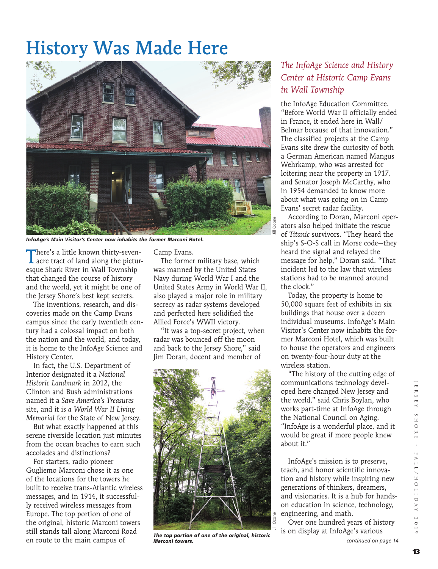## History Was Made Here



*InfoAge's Main Visitor's Center now inhabits the former Marconi Hotel.*

There's a little known thirty-seven-acre tract of land along the picturesque Shark River in Wall Township that changed the course of history and the world, yet it might be one of the Jersey Shore's best kept secrets.

The inventions, research, and discoveries made on the Camp Evans campus since the early twentieth century had a colossal impact on both the nation and the world, and today, it is home to the InfoAge Science and History Center.

In fact, the U.S. Department of Interior designated it a *National Historic Landmark* in 2012, the Clinton and Bush administrations named it a *Save America's Treasures*  site, and it is *a World War II Living Memorial* for the State of New Jersey.

But what exactly happened at this serene riverside location just minutes from the ocean beaches to earn such accolades and distinctions?

For starters, radio pioneer Gugliemo Marconi chose it as one of the locations for the towers he built to receive trans-Atlantic wireless messages, and in 1914, it successfully received wireless messages from Europe. The top portion of one of the original, historic Marconi towers still stands tall along Marconi Road en route to the main campus of

Camp Evans.

The former military base, which was manned by the United States Navy during World War I and the United States Army in World War II, also played a major role in military secrecy as radar systems developed and perfected here solidified the Allied Force's WWII victory.

"It was a top-secret project, when radar was bounced off the moon and back to the Jersey Shore," said Jim Doran, docent and member of



*The top portion of one of the original, historic Marconi towers.*

## *The InfoAge Science and History Center at Historic Camp Evans in Wall Township*

the InfoAge Education Committee. "Before World War II officially ended in France, it ended here in Wall/ Belmar because of that innovation." The classified projects at the Camp Evans site drew the curiosity of both a German American named Mangus Wehrkamp, who was arrested for loitering near the property in 1917, and Senator Joseph McCarthy, who in 1954 demanded to know more about what was going on in Camp Evans' secret radar facility.

According to Doran, Marconi operators also helped initiate the rescue of *Titanic* survivors. "They heard the ship's S-O-S call in Morse code—they heard the signal and relayed the message for help," Doran said. "That incident led to the law that wireless stations had to be manned around the clock."

Today, the property is home to 50,000 square feet of exhibits in six buildings that house over a dozen individual museums. InfoAge's Main Visitor's Center now inhabits the former Marconi Hotel, which was built to house the operators and engineers on twenty-four-hour duty at the wireless station.

"The history of the cutting edge of communications technology developed here changed New Jersey and the world," said Chris Boylan, who works part-time at InfoAge through the National Council on Aging. "InfoAge is a wonderful place, and it would be great if more people knew about it."

InfoAge's mission is to preserve, teach, and honor scientific innovation and history while inspiring new generations of thinkers, dreamers, and visionaries. It is a hub for handson education in science, technology, engineering, and math.

Over one hundred years of history is on display at InfoAge's various

*continued on page 14*

 $E$ R S E Y

O H S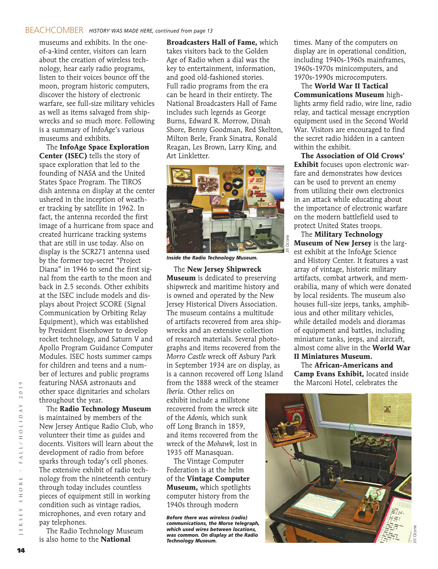museums and exhibits. In the oneof-a-kind center, visitors can learn about the creation of wireless technology, hear early radio programs, listen to their voices bounce off the moon, program historic computers, discover the history of electronic warfare, see full-size military vehicles as well as items salvaged from shipwrecks and so much more. Following is a summary of InfoAge's various museums and exhibits.

The **InfoAge Space Exploration Center (ISEC)** tells the story of space exploration that led to the founding of NASA and the United States Space Program. The TIROS dish antenna on display at the center ushered in the inception of weather tracking by satellite in 1962. In fact, the antenna recorded the first image of a hurricane from space and created hurricane tracking systems that are still in use today. Also on display is the SCR271 antenna used by the former top-secret "Project Diana" in 1946 to send the first signal from the earth to the moon and back in 2.5 seconds. Other exhibits at the ISEC include models and displays about Project SCORE (Signal Communication by Orbiting Relay Equipment), which was established by President Eisenhower to develop rocket technology, and Saturn V and Apollo Program Guidance Computer Modules. ISEC hosts summer camps for children and teens and a number of lectures and public programs featuring NASA astronauts and other space dignitaries and scholars throughout the year.

The **Radio Technology Museum** is maintained by members of the New Jersey Antique Radio Club, who volunteer their time as guides and docents. Visitors will learn about the development of radio from before sparks through today's cell phones. The extensive exhibit of radio technology from the nineteenth century through today includes countless pieces of equipment still in working condition such as vintage radios, microphones, and even rotary and pay telephones.

The Radio Technology Museum is also home to the **National** 

**Broadcasters Hall of Fame,** which takes visitors back to the Golden Age of Radio when a dial was the key to entertainment, information, and good old-fashioned stories. Full radio programs from the era can be heard in their entirety. The National Broadcasters Hall of Fame includes such legends as George Burns, Edward R. Morrow, Dinah Shore, Benny Goodman, Red Skelton, Milton Berle, Frank Sinatra, Ronald Reagan, Les Brown, Larry King, and Art Linkletter.



*Inside the Radio Technology Museum.*

The **New Jersey Shipwreck Museum** is dedicated to preserving shipwreck and maritime history and is owned and operated by the New Jersey Historical Divers Association. The museum contains a multitude of artifacts recovered from area shipwrecks and an extensive collection of research materials. Several photographs and items recovered from the *Morro Castle* wreck off Asbury Park in September 1934 are on display, as is a cannon recovered off Long Island from the 1888 wreck of the steamer

*Iberia.* Other relics on exhibit include a millstone recovered from the wreck site of the *Adonis,* which sunk off Long Branch in 1859, and items recovered from the wreck of the *Mohawk,* lost in 1935 off Manasquan.

The Vintage Computer Federation is at the helm of the **Vintage Computer Museum,** which spotlights computer history from the 1940s through modern

*Before there was wireless (radio) communications, the Morse telegraph, which used wires between locations, was common. On display at the Radio Technology Museum.*

times. Many of the computers on display are in operational condition, including 1940s-1960s mainframes, 1960s-1970s minicomputers, and 1970s-1990s microcomputers.

The **World War II Tactical Communications Museum** highlights army field radio, wire line, radio relay, and tactical message encryption equipment used in the Second World War. Visitors are encouraged to find the secret radio hidden in a canteen within the exhibit.

**The Association of Old Crows' Exhibit** focuses upon electronic warfare and demonstrates how devices can be used to prevent an enemy from utilizing their own electronics in an attack while educating about the importance of electronic warfare on the modern battlefield used to protect United States troops.

The **Military Technology Museum of New Jersey** is the largest exhibit at the InfoAge Science and History Center. It features a vast array of vintage, historic military artifacts, combat artwork, and memorabilia, many of which were donated by local residents. The museum also houses full-size jeeps, tanks, amphibious and other military vehicles, while detailed models and dioramas of equipment and battles, including miniature tanks, jeeps, and aircraft, almost come alive in the **World War II Miniatures Museum.**

The **African-Americans and Camp Evans Exhibit,** located inside the Marconi Hotel, celebrates the